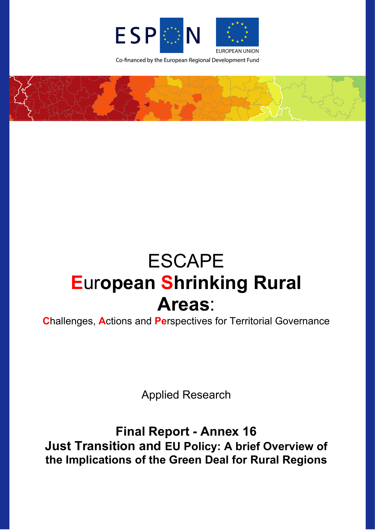

Co-financed by the European Regional Development Fund



# **ESCAPE European Shrinking Rural** Areas:

**Challenges, Actions and Perspectives for Territorial Governance** 

**Applied Research** 

**Final Report - Annex 16 Just Transition and EU Policy: A brief Overview of** the Implications of the Green Deal for Rural Regions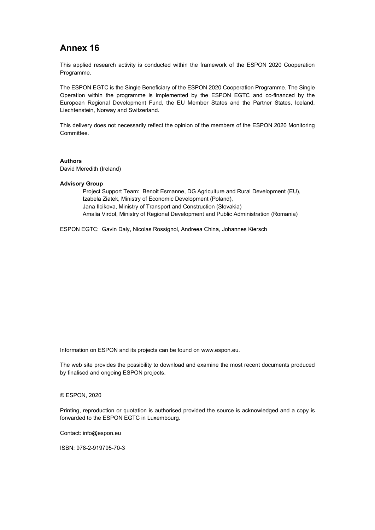# **Annex 16**

This applied research activity is conducted within the framework of the ESPON 2020 Cooperation Programme.

The ESPON EGTC is the Single Beneficiary of the ESPON 2020 Cooperation Programme. The Single Operation within the programme is implemented by the ESPON EGTC and co-financed by the European Regional Development Fund, the EU Member States and the Partner States, Iceland, Liechtenstein, Norway and Switzerland.

This delivery does not necessarily reflect the opinion of the members of the ESPON 2020 Monitoring Committee.

#### **Authors**

David Meredith (Ireland)

#### **Advisory Group**

Project Support Team: Benoit Esmanne, DG Agriculture and Rural Development (EU), Izabela Ziatek, Ministry of Economic Development (Poland), Jana Ilcikova, Ministry of Transport and Construction (Slovakia) Amalia Virdol, Ministry of Regional Development and Public Administration (Romania)

ESPON EGTC: Gavin Daly, Nicolas Rossignol, Andreea China, Johannes Kiersch

Information on ESPON and its projects can be found o[n www.espon.eu.](https://www.espon.eu/)

The web site provides the possibility to download and examine the most recent documents produced by finalised and ongoing ESPON projects.

#### © ESPON, 2020

Printing, reproduction or quotation is authorised provided the source is acknowledged and a copy is forwarded to the ESPON EGTC in Luxembourg.

Contact: [info@espon.eu](mailto:info@espon.eu)

ISBN: 978-2-919795-70-3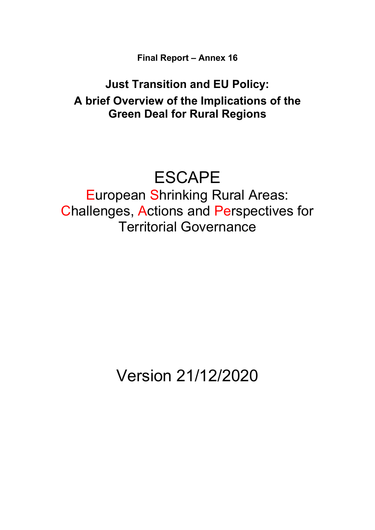**Final Report – Annex 16**

# **Just Transition and EU Policy: A brief Overview of the Implications of the Green Deal for Rural Regions**

# **ESCAPE**

European Shrinking Rural Areas: Challenges, Actions and Perspectives for Territorial Governance

Version 21/12/2020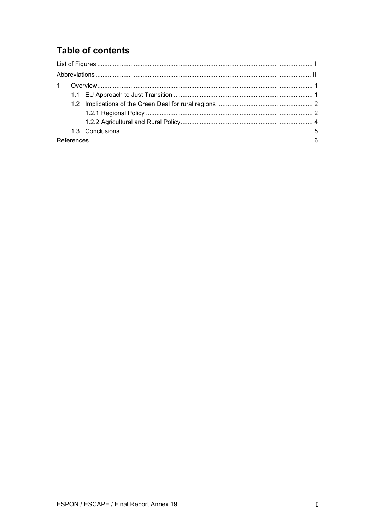# **Table of contents**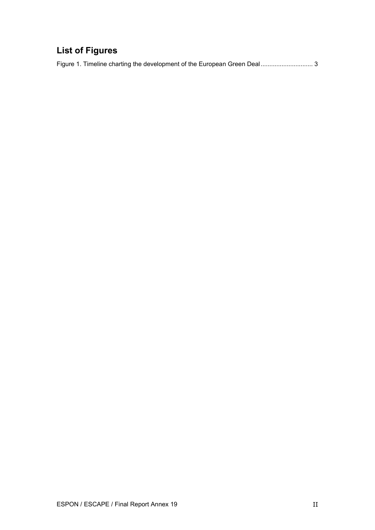# <span id="page-4-0"></span>**List of Figures**

Figure 1. [Timeline charting the development of the European Green Deal..............................](#page-8-0) 3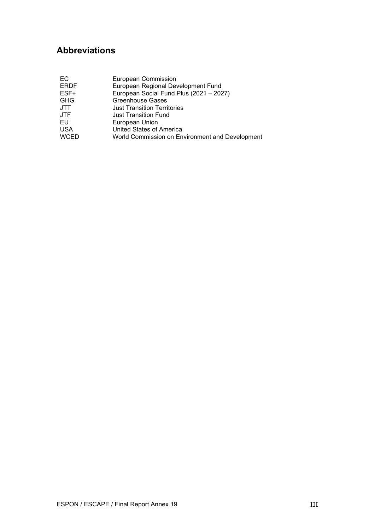# <span id="page-5-0"></span>**Abbreviations**

| EC          | <b>European Commission</b>                      |
|-------------|-------------------------------------------------|
| <b>ERDF</b> | European Regional Development Fund              |
| ESF+        | European Social Fund Plus (2021 - 2027)         |
| <b>GHG</b>  | <b>Greenhouse Gases</b>                         |
| JTT         | <b>Just Transition Territories</b>              |
| <b>JTF</b>  | <b>Just Transition Fund</b>                     |
| EU          | European Union                                  |
| <b>USA</b>  | United States of America                        |
| <b>WCED</b> | World Commission on Environment and Development |
|             |                                                 |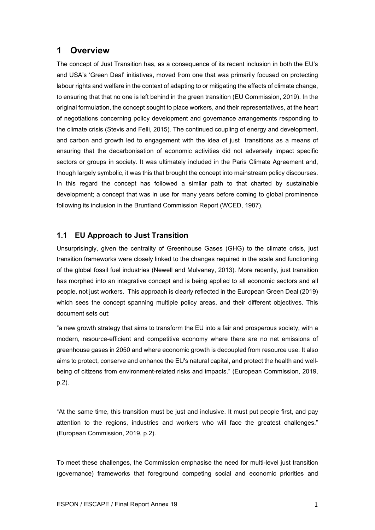## <span id="page-6-0"></span>**1 Overview**

The concept of Just Transition has, as a consequence of its recent inclusion in both the EU's and USA's 'Green Deal' initiatives, moved from one that was primarily focused on protecting labour rights and welfare in the context of adapting to or mitigating the effects of climate change, to ensuring that that no one is left behind in the green transition (EU Commission, 2019). In the original formulation, the concept sought to place workers, and their representatives, at the heart of negotiations concerning policy development and governance arrangements responding to the climate crisis (Stevis and Felli, 2015). The continued coupling of energy and development, and carbon and growth led to engagement with the idea of just transitions as a means of ensuring that the decarbonisation of economic activities did not adversely impact specific sectors or groups in society. It was ultimately included in the Paris Climate Agreement and, though largely symbolic, it was this that brought the concept into mainstream policy discourses. In this regard the concept has followed a similar path to that charted by sustainable development; a concept that was in use for many years before coming to global prominence following its inclusion in the Bruntland Commission Report (WCED, 1987).

### <span id="page-6-1"></span>**1.1 EU Approach to Just Transition**

Unsurprisingly, given the centrality of Greenhouse Gases (GHG) to the climate crisis, just transition frameworks were closely linked to the changes required in the scale and functioning of the global fossil fuel industries (Newell and Mulvaney, 2013). More recently, just transition has morphed into an integrative concept and is being applied to all economic sectors and all people, not just workers. This approach is clearly reflected in the European Green Deal (2019) which sees the concept spanning multiple policy areas, and their different objectives. This document sets out:

"a new growth strategy that aims to transform the EU into a fair and prosperous society, with a modern, resource-efficient and competitive economy where there are no net emissions of greenhouse gases in 2050 and where economic growth is decoupled from resource use. It also aims to protect, conserve and enhance the EU's natural capital, and protect the health and wellbeing of citizens from environment-related risks and impacts." (European Commission, 2019, p.2).

"At the same time, this transition must be just and inclusive. It must put people first, and pay attention to the regions, industries and workers who will face the greatest challenges." (European Commission, 2019, p.2).

To meet these challenges, the Commission emphasise the need for multi-level just transition (governance) frameworks that foreground competing social and economic priorities and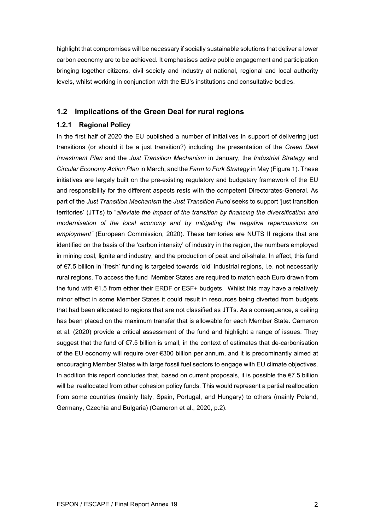highlight that compromises will be necessary if socially sustainable solutions that deliver a lower carbon economy are to be achieved. It emphasises active public engagement and participation bringing together citizens, civil society and industry at national, regional and local authority levels, whilst working in conjunction with the EU's institutions and consultative bodies.

### <span id="page-7-0"></span>**1.2 Implications of the Green Deal for rural regions**

#### <span id="page-7-1"></span>**1.2.1 Regional Policy**

In the first half of 2020 the EU published a number of initiatives in support of delivering just transitions (or should it be a just transition?) including the presentation of the *Green Deal Investment Plan* and the *Just Transition Mechanism* in January, the *Industrial Strategy* and *Circular Economy Action Plan* in March, and the *Farm to Fork Strategy* in May (Figure 1). These initiatives are largely built on the pre-existing regulatory and budgetary framework of the EU and responsibility for the different aspects rests with the competent Directorates-General. As part of the *Just Transition Mechanism* the *Just Transition Fund* seeks to support 'just transition territories' (JTTs) to "*alleviate the impact of the transition by financing the diversification and modernisation of the local economy and by mitigating the negative repercussions on employment"* (European Commission, 2020). These territories are NUTS II regions that are identified on the basis of the 'carbon intensity' of industry in the region, the numbers employed in mining coal, lignite and industry, and the production of peat and oil-shale. In effect, this fund of €7.5 billion in 'fresh' funding is targeted towards 'old' industrial regions, i.e. not necessarily rural regions. To access the fund Member States are required to match each Euro drawn from the fund with €1.5 from either their ERDF or ESF+ budgets. Whilst this may have a relatively minor effect in some Member States it could result in resources being diverted from budgets that had been allocated to regions that are not classified as JTTs. As a consequence, a ceiling has been placed on the maximum transfer that is allowable for each Member State. Cameron et al. (2020) provide a critical assessment of the fund and highlight a range of issues. They suggest that the fund of €7.5 billion is small, in the context of estimates that de-carbonisation of the EU economy will require over €300 billion per annum, and it is predominantly aimed at encouraging Member States with large fossil fuel sectors to engage with EU climate objectives. In addition this report concludes that, based on current proposals, it is possible the  $E$ 7.5 billion will be reallocated from other cohesion policy funds. This would represent a partial reallocation from some countries (mainly Italy, Spain, Portugal, and Hungary) to others (mainly Poland, Germany, Czechia and Bulgaria) (Cameron et al., 2020, p.2).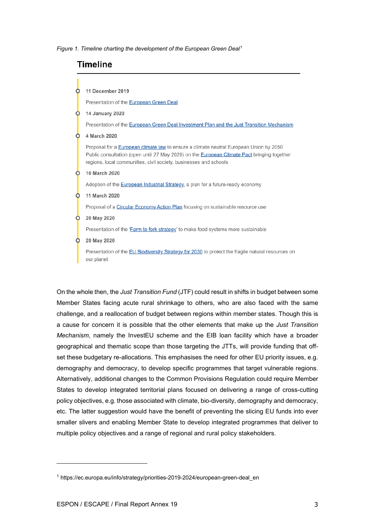<span id="page-8-0"></span>*Figure 1. Timeline charting the development of the European Green Deal[1](#page-8-1)*

## **Timeline**



On the whole then, the *Just Transition Fund* (JTF) could result in shifts in budget between some Member States facing acute rural shrinkage to others, who are also faced with the same challenge, and a reallocation of budget between regions within member states. Though this is a cause for concern it is possible that the other elements that make up the *Just Transition Mechanism*, namely the InvestEU scheme and the EIB loan facility which have a broader geographical and thematic scope than those targeting the JTTs, will provide funding that offset these budgetary re-allocations. This emphasises the need for other EU priority issues, e.g. demography and democracy, to develop specific programmes that target vulnerable regions. Alternatively, additional changes to the Common Provisions Regulation could require Member States to develop integrated territorial plans focused on delivering a range of cross-cutting policy objectives, e.g. those associated with climate, bio-diversity, demography and democracy, etc. The latter suggestion would have the benefit of preventing the slicing EU funds into ever smaller slivers and enabling Member State to develop integrated programmes that deliver to multiple policy objectives and a range of regional and rural policy stakeholders.

<span id="page-8-1"></span><sup>&</sup>lt;sup>1</sup> https://ec.europa.eu/info/strategy/priorities-2019-2024/european-green-deal en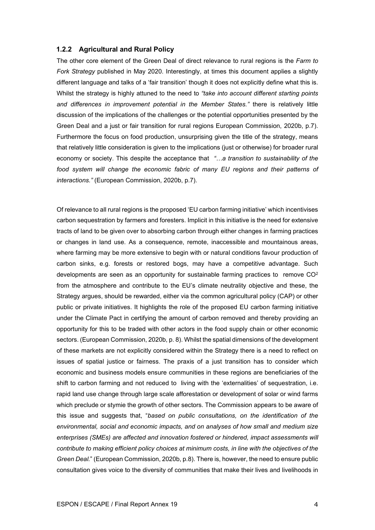#### <span id="page-9-0"></span>**1.2.2 Agricultural and Rural Policy**

The other core element of the Green Deal of direct relevance to rural regions is the *Farm to Fork Strategy* published in May 2020. Interestingly, at times this document applies a slightly different language and talks of a 'fair transition' though it does not explicitly define what this is. Whilst the strategy is highly attuned to the need to *"take into account different starting points and differences in improvement potential in the Member States."* there is relatively little discussion of the implications of the challenges or the potential opportunities presented by the Green Deal and a just or fair transition for rural regions European Commission, 2020b, p.7). Furthermore the focus on food production, unsurprising given the title of the strategy, means that relatively little consideration is given to the implications (just or otherwise) for broader rural economy or society. This despite the acceptance that *"…a transition to sustainability of the*  food system will change the economic fabric of many EU regions and their patterns of *interactions."* (European Commission, 2020b, p.7).

Of relevance to all rural regions is the proposed 'EU carbon farming initiative' which incentivises carbon sequestration by farmers and foresters. Implicit in this initiative is the need for extensive tracts of land to be given over to absorbing carbon through either changes in farming practices or changes in land use. As a consequence, remote, inaccessible and mountainous areas, where farming may be more extensive to begin with or natural conditions favour production of carbon sinks, e.g. forests or restored bogs, may have a competitive advantage. Such developments are seen as an opportunity for sustainable farming practices to remove  $CO<sup>2</sup>$ from the atmosphere and contribute to the EU's climate neutrality objective and these, the Strategy argues, should be rewarded, either via the common agricultural policy (CAP) or other public or private initiatives. It highlights the role of the proposed EU carbon farming initiative under the Climate Pact in certifying the amount of carbon removed and thereby providing an opportunity for this to be traded with other actors in the food supply chain or other economic sectors. (European Commission, 2020b, p. 8). Whilst the spatial dimensions of the development of these markets are not explicitly considered within the Strategy there is a need to reflect on issues of spatial justice or fairness. The praxis of a just transition has to consider which economic and business models ensure communities in these regions are beneficiaries of the shift to carbon farming and not reduced to living with the 'externalities' of sequestration, i.e. rapid land use change through large scale afforestation or development of solar or wind farms which preclude or stymie the growth of other sectors. The Commission appears to be aware of this issue and suggests that, "*based on public consultations, on the identification of the environmental, social and economic impacts, and on analyses of how small and medium size enterprises (SMEs) are affected and innovation fostered or hindered, impact assessments will contribute to making efficient policy choices at minimum costs, in line with the objectives of the Green Deal.*" (European Commission, 2020b, p.8). There is, however, the need to ensure public consultation gives voice to the diversity of communities that make their lives and livelihoods in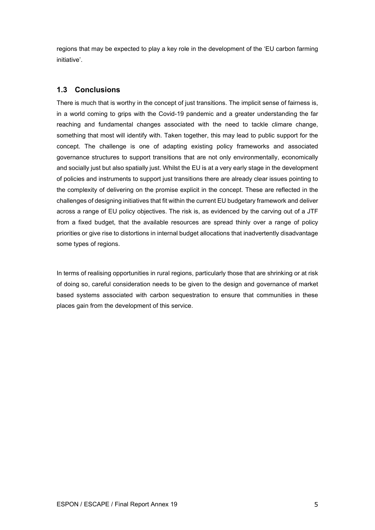regions that may be expected to play a key role in the development of the 'EU carbon farming initiative'.

## <span id="page-10-0"></span>**1.3 Conclusions**

There is much that is worthy in the concept of just transitions. The implicit sense of fairness is, in a world coming to grips with the Covid-19 pandemic and a greater understanding the far reaching and fundamental changes associated with the need to tackle climare change, something that most will identify with. Taken together, this may lead to public support for the concept. The challenge is one of adapting existing policy frameworks and associated governance structures to support transitions that are not only environmentally, economically and socially just but also spatially just. Whilst the EU is at a very early stage in the development of policies and instruments to support just transitions there are already clear issues pointing to the complexity of delivering on the promise explicit in the concept. These are reflected in the challenges of designing initiatives that fit within the current EU budgetary framework and deliver across a range of EU policy objectives. The risk is, as evidenced by the carving out of a JTF from a fixed budget, that the available resources are spread thinly over a range of policy priorities or give rise to distortions in internal budget allocations that inadvertently disadvantage some types of regions.

In terms of realising opportunities in rural regions, particularly those that are shrinking or at risk of doing so, careful consideration needs to be given to the design and governance of market based systems associated with carbon sequestration to ensure that communities in these places gain from the development of this service.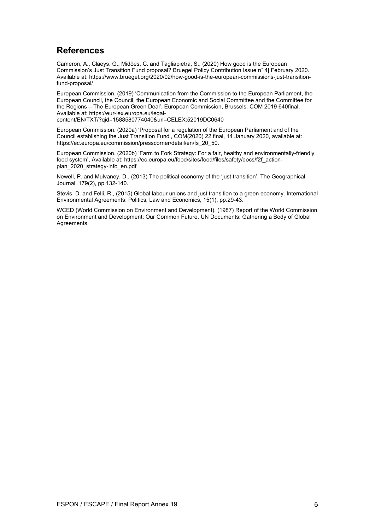# <span id="page-11-0"></span>**References**

Cameron, A., Claeys, G., Midões, C. and Tagliapietra, S., (2020) How good is the European Commission's Just Transition Fund proposal? Bruegel Policy Contribution Issue n˚ 4| February 2020. Available at[: https://www.bruegel.org/2020/02/how-good-is-the-european-commissions-just-transition](https://www.bruegel.org/2020/02/how-good-is-the-european-commissions-just-transition-fund-proposal/)[fund-proposal/](https://www.bruegel.org/2020/02/how-good-is-the-european-commissions-just-transition-fund-proposal/)

European Commission. (2019) 'Communication from the Commission to the European Parliament, the European Council, the Council, the European Economic and Social Committee and the Committee for the Regions – The European Green Deal'. European Commission, Brussels. COM 2019 640final. Available at: https://eur-lex.europa.eu/legalcontent/EN/TXT/?qid=1588580774040&uri=CELEX:52019DC0640

European Commission. (2020a) 'Proposal for a regulation of the European Parliament and of the Council establishing the Just Transition Fund', COM(2020) 22 final, 14 January 2020, available at:

[https://ec.europa.eu/commission/presscorner/detail/en/fs\\_20\\_50.](https://ec.europa.eu/commission/presscorner/detail/en/fs_20_50) European Commission. (2020b) 'Farm to Fork Strategy: For a fair, healthy and environmentally-friendly

food system', Available at: https://ec.europa.eu/food/sites/food/files/safety/docs/f2f\_actionplan\_2020\_strategy-info\_en.pdf

Newell, P. and Mulvaney, D., (2013) The political economy of the 'just transition'. The Geographical Journal, 179(2), pp.132-140.

Stevis, D. and Felli, R., (2015) Global labour unions and just transition to a green economy. International Environmental Agreements: Politics, Law and Economics, 15(1), pp.29-43.

WCED (World Commission on Environment and Development). (1987) Report of the World Commission on Environment and Development: Our Common Future. UN Documents: Gathering a Body of Global Agreements.